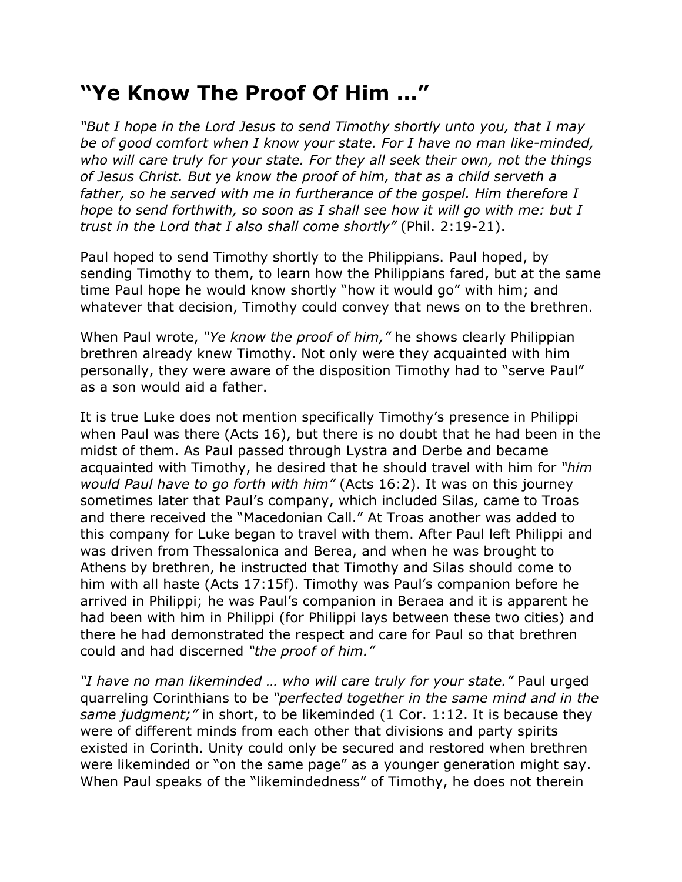## **"Ye Know The Proof Of Him …"**

*"But I hope in the Lord Jesus to send Timothy shortly unto you, that I may be of good comfort when I know your state. For I have no man like-minded, who will care truly for your state. For they all seek their own, not the things of Jesus Christ. But ye know the proof of him, that as a child serveth a father, so he served with me in furtherance of the gospel. Him therefore I hope to send forthwith, so soon as I shall see how it will go with me: but I trust in the Lord that I also shall come shortly"* (Phil. 2:19-21).

Paul hoped to send Timothy shortly to the Philippians. Paul hoped, by sending Timothy to them, to learn how the Philippians fared, but at the same time Paul hope he would know shortly "how it would go" with him; and whatever that decision, Timothy could convey that news on to the brethren.

When Paul wrote, *"Ye know the proof of him,"* he shows clearly Philippian brethren already knew Timothy. Not only were they acquainted with him personally, they were aware of the disposition Timothy had to "serve Paul" as a son would aid a father.

It is true Luke does not mention specifically Timothy's presence in Philippi when Paul was there (Acts 16), but there is no doubt that he had been in the midst of them. As Paul passed through Lystra and Derbe and became acquainted with Timothy, he desired that he should travel with him for *"him would Paul have to go forth with him"* (Acts 16:2). It was on this journey sometimes later that Paul's company, which included Silas, came to Troas and there received the "Macedonian Call." At Troas another was added to this company for Luke began to travel with them. After Paul left Philippi and was driven from Thessalonica and Berea, and when he was brought to Athens by brethren, he instructed that Timothy and Silas should come to him with all haste (Acts 17:15f). Timothy was Paul's companion before he arrived in Philippi; he was Paul's companion in Beraea and it is apparent he had been with him in Philippi (for Philippi lays between these two cities) and there he had demonstrated the respect and care for Paul so that brethren could and had discerned *"the proof of him."*

*"I have no man likeminded … who will care truly for your state."* Paul urged quarreling Corinthians to be *"perfected together in the same mind and in the same judgment;"* in short, to be likeminded (1 Cor. 1:12. It is because they were of different minds from each other that divisions and party spirits existed in Corinth. Unity could only be secured and restored when brethren were likeminded or "on the same page" as a younger generation might say. When Paul speaks of the "likemindedness" of Timothy, he does not therein